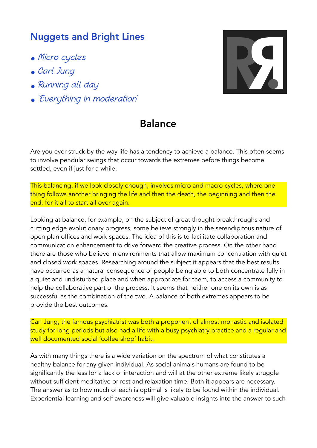## Nuggets and Bright Lines

- Micro cycles
- Carl Jung
- Running all day
- 'Everything in moderation'



## Balance

Are you ever struck by the way life has a tendency to achieve a balance. This often seems to involve pendular swings that occur towards the extremes before things become settled, even if just for a while.

This balancing, if we look closely enough, involves micro and macro cycles, where one thing follows another bringing the life and then the death, the beginning and then the end, for it all to start all over again.

Looking at balance, for example, on the subject of great thought breakthroughs and cutting edge evolutionary progress, some believe strongly in the serendipitous nature of open plan offices and work spaces. The idea of this is to facilitate collaboration and communication enhancement to drive forward the creative process. On the other hand there are those who believe in environments that allow maximum concentration with quiet and closed work spaces. Researching around the subject it appears that the best results have occurred as a natural consequence of people being able to both concentrate fully in a quiet and undisturbed place and when appropriate for them, to access a community to help the collaborative part of the process. It seems that neither one on its own is as successful as the combination of the two. A balance of both extremes appears to be provide the best outcomes.

Carl Jung, the famous psychiatrist was both a proponent of almost monastic and isolated study for long periods but also had a life with a busy psychiatry practice and a regular and well documented social 'coffee shop' habit.

As with many things there is a wide variation on the spectrum of what constitutes a healthy balance for any given individual. As social animals humans are found to be significantly the less for a lack of interaction and will at the other extreme likely struggle without sufficient meditative or rest and relaxation time. Both it appears are necessary. The answer as to how much of each is optimal is likely to be found within the individual. Experiential learning and self awareness will give valuable insights into the answer to such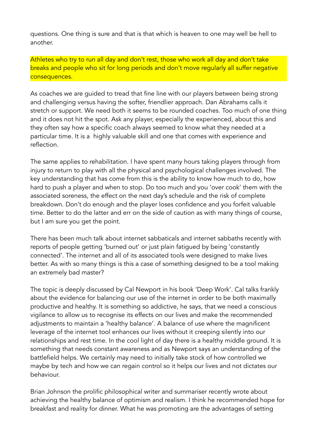questions. One thing is sure and that is that which is heaven to one may well be hell to another.

Athletes who try to run all day and don't rest, those who work all day and don't take breaks and people who sit for long periods and don't move regularly all suffer negative consequences.

As coaches we are guided to tread that fine line with our players between being strong and challenging versus having the softer, friendlier approach. Dan Abrahams calls it stretch or support. We need both it seems to be rounded coaches. Too much of one thing and it does not hit the spot. Ask any player, especially the experienced, about this and they often say how a specific coach always seemed to know what they needed at a particular time. It is a highly valuable skill and one that comes with experience and reflection.

The same applies to rehabilitation. I have spent many hours taking players through from injury to return to play with all the physical and psychological challenges involved. The key understanding that has come from this is the ability to know how much to do, how hard to push a player and when to stop. Do too much and you 'over cook' them with the associated soreness, the effect on the next day's schedule and the risk of complete breakdown. Don't do enough and the player loses confidence and you forfeit valuable time. Better to do the latter and err on the side of caution as with many things of course, but I am sure you get the point.

There has been much talk about internet sabbaticals and internet sabbaths recently with reports of people getting 'burned out' or just plain fatigued by being 'constantly connected'. The internet and all of its associated tools were designed to make lives better. As with so many things is this a case of something designed to be a tool making an extremely bad master?

The topic is deeply discussed by Cal Newport in his book 'Deep Work'. Cal talks frankly about the evidence for balancing our use of the internet in order to be both maximally productive and healthy. It is something so addictive, he says, that we need a conscious vigilance to allow us to recognise its effects on our lives and make the recommended adjustments to maintain a 'healthy balance'. A balance of use where the magnificent leverage of the internet tool enhances our lives without it creeping silently into our relationships and rest time. In the cool light of day there is a healthy middle ground. It is something that needs constant awareness and as Newport says an understanding of the battlefield helps. We certainly may need to initially take stock of how controlled we maybe by tech and how we can regain control so it helps our lives and not dictates our behaviour.

Brian Johnson the prolific philosophical writer and summariser recently wrote about achieving the healthy balance of optimism and realism. I think he recommended hope for breakfast and reality for dinner. What he was promoting are the advantages of setting